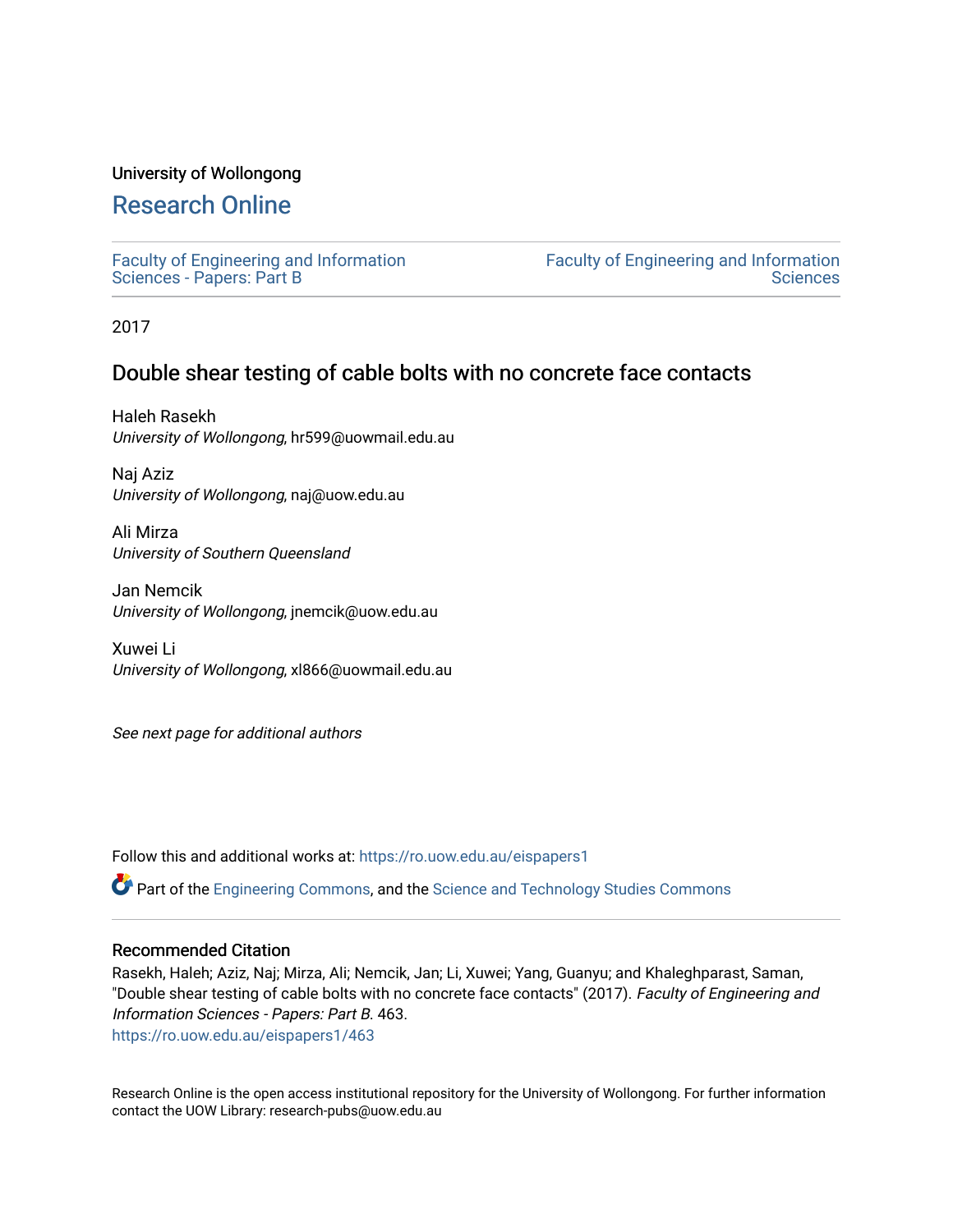### University of Wollongong

# [Research Online](https://ro.uow.edu.au/)

[Faculty of Engineering and Information](https://ro.uow.edu.au/eispapers1)  [Sciences - Papers: Part B](https://ro.uow.edu.au/eispapers1)

[Faculty of Engineering and Information](https://ro.uow.edu.au/eis)  **Sciences** 

2017

## Double shear testing of cable bolts with no concrete face contacts

Haleh Rasekh University of Wollongong, hr599@uowmail.edu.au

Naj Aziz University of Wollongong, naj@uow.edu.au

Ali Mirza University of Southern Queensland

Jan Nemcik University of Wollongong, jnemcik@uow.edu.au

Xuwei Li University of Wollongong, xl866@uowmail.edu.au

See next page for additional authors

Follow this and additional works at: [https://ro.uow.edu.au/eispapers1](https://ro.uow.edu.au/eispapers1?utm_source=ro.uow.edu.au%2Feispapers1%2F463&utm_medium=PDF&utm_campaign=PDFCoverPages) 

Part of the [Engineering Commons](http://network.bepress.com/hgg/discipline/217?utm_source=ro.uow.edu.au%2Feispapers1%2F463&utm_medium=PDF&utm_campaign=PDFCoverPages), and the [Science and Technology Studies Commons](http://network.bepress.com/hgg/discipline/435?utm_source=ro.uow.edu.au%2Feispapers1%2F463&utm_medium=PDF&utm_campaign=PDFCoverPages)

### Recommended Citation

Rasekh, Haleh; Aziz, Naj; Mirza, Ali; Nemcik, Jan; Li, Xuwei; Yang, Guanyu; and Khaleghparast, Saman, "Double shear testing of cable bolts with no concrete face contacts" (2017). Faculty of Engineering and Information Sciences - Papers: Part B. 463.

[https://ro.uow.edu.au/eispapers1/463](https://ro.uow.edu.au/eispapers1/463?utm_source=ro.uow.edu.au%2Feispapers1%2F463&utm_medium=PDF&utm_campaign=PDFCoverPages) 

Research Online is the open access institutional repository for the University of Wollongong. For further information contact the UOW Library: research-pubs@uow.edu.au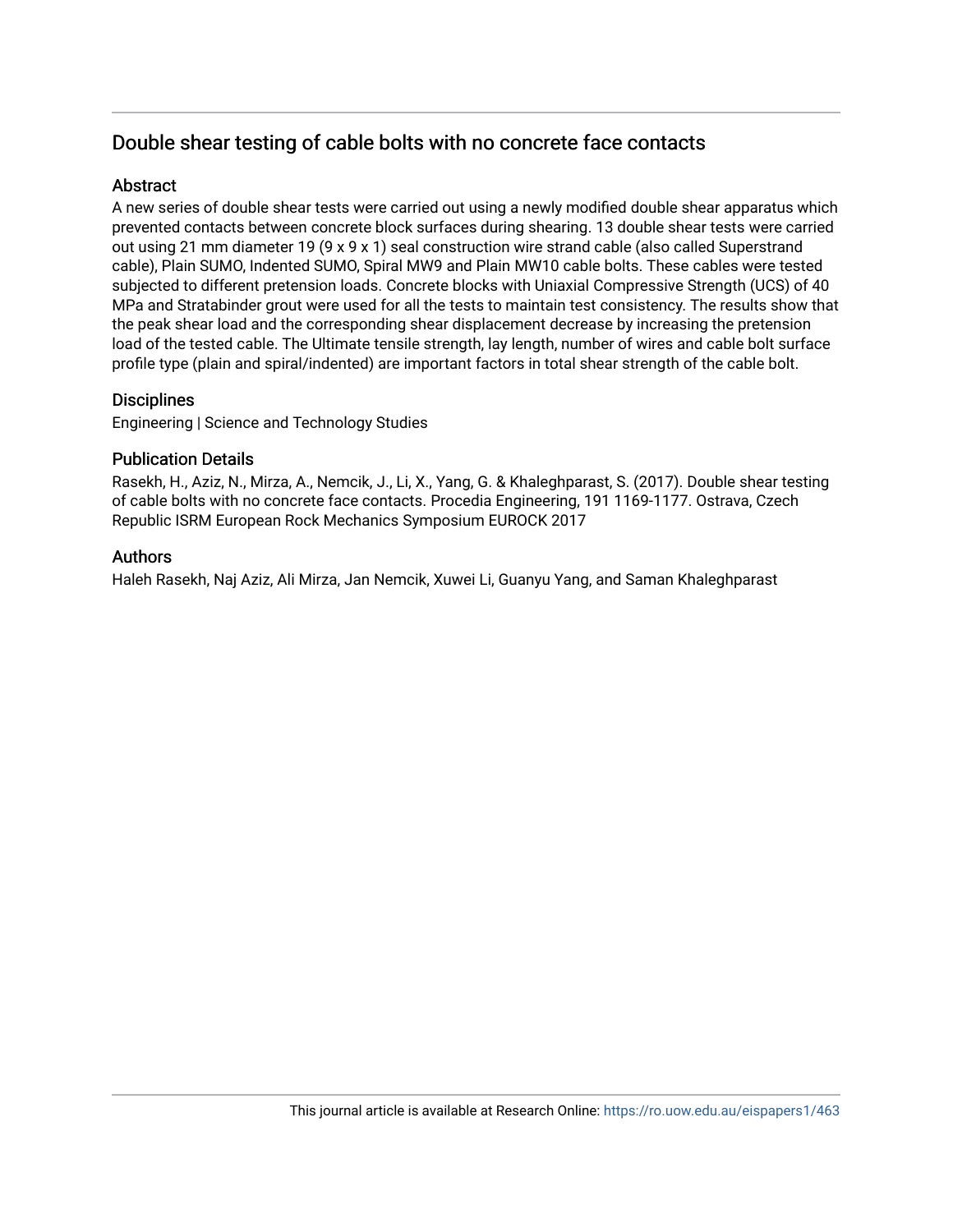# Double shear testing of cable bolts with no concrete face contacts

### **Abstract**

A new series of double shear tests were carried out using a newly modified double shear apparatus which prevented contacts between concrete block surfaces during shearing. 13 double shear tests were carried out using 21 mm diameter 19 (9 x 9 x 1) seal construction wire strand cable (also called Superstrand cable), Plain SUMO, Indented SUMO, Spiral MW9 and Plain MW10 cable bolts. These cables were tested subjected to different pretension loads. Concrete blocks with Uniaxial Compressive Strength (UCS) of 40 MPa and Stratabinder grout were used for all the tests to maintain test consistency. The results show that the peak shear load and the corresponding shear displacement decrease by increasing the pretension load of the tested cable. The Ultimate tensile strength, lay length, number of wires and cable bolt surface profile type (plain and spiral/indented) are important factors in total shear strength of the cable bolt.

### **Disciplines**

Engineering | Science and Technology Studies

### Publication Details

Rasekh, H., Aziz, N., Mirza, A., Nemcik, J., Li, X., Yang, G. & Khaleghparast, S. (2017). Double shear testing of cable bolts with no concrete face contacts. Procedia Engineering, 191 1169-1177. Ostrava, Czech Republic ISRM European Rock Mechanics Symposium EUROCK 2017

### Authors

Haleh Rasekh, Naj Aziz, Ali Mirza, Jan Nemcik, Xuwei Li, Guanyu Yang, and Saman Khaleghparast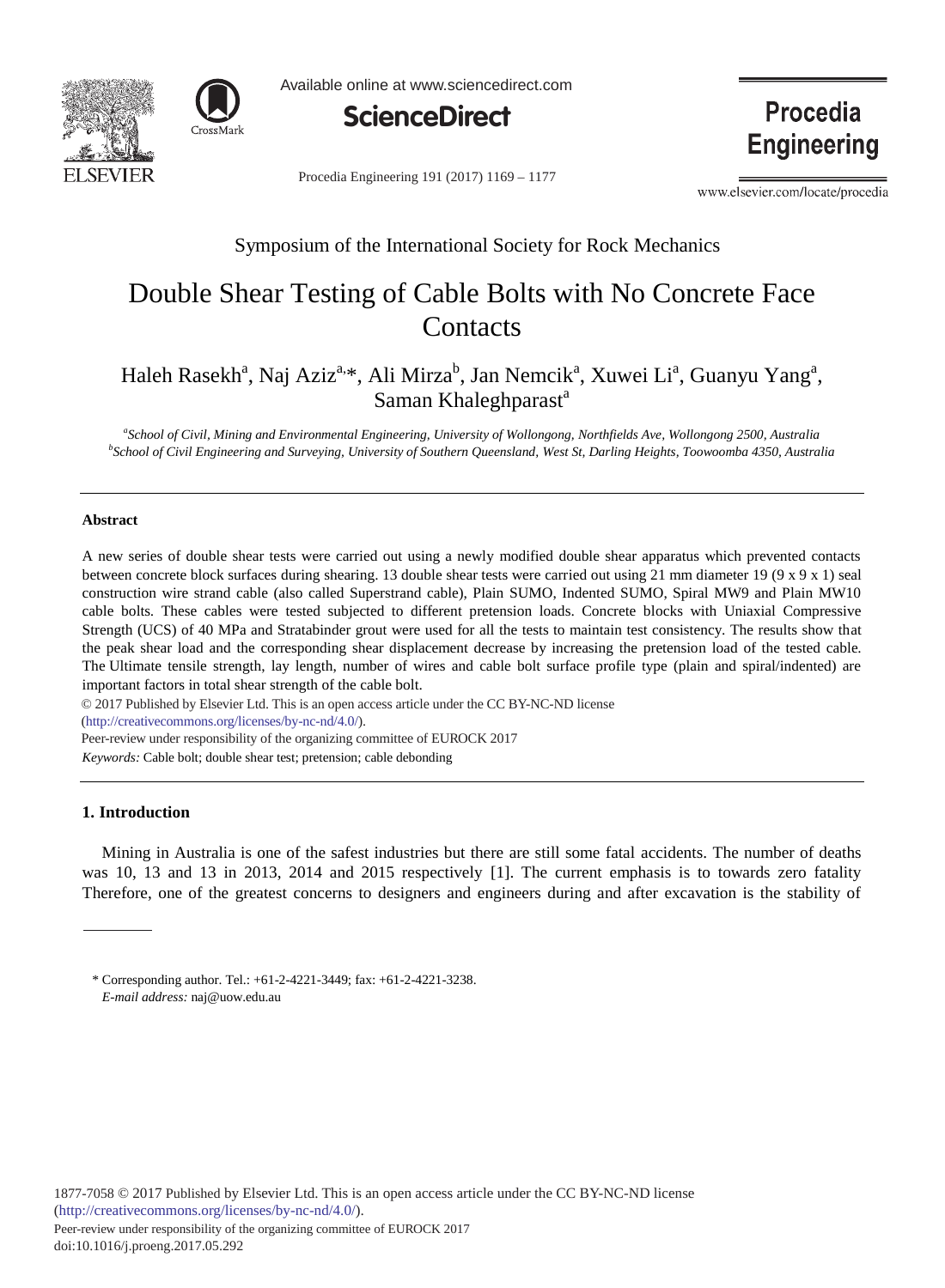



Available online at www.sciencedirect.com



Procedia Engineering 191 (2017) 1169 - 1177

www.elsevier.com/locate/procedia

**Procedia** 

**Engineering** 

### Symposium of the International Society for Rock Mechanics

# Double Shear Testing of Cable Bolts with No Concrete Face **Contacts**

Haleh Rasekh<sup>a</sup>, Naj Aziz<sup>a,\*</sup>, Ali Mirza<sup>b</sup>, Jan Nemcik<sup>a</sup>, Xuwei Li<sup>a</sup>, Guanyu Yang<sup>a</sup>, Saman Khaleghparast<sup>a</sup>

<sup>a</sup> School of Civil, Mining and Environmental Engineering, University of Wollongong, Northfields Ave, Wollongong 2500, Australia **b**<br><sup>b</sup>School of Civil Engineering and Surveying, University of Southern Queensland, West St. *School of Civil Engineering and Surveying, University of Southern Queensland, West St, Darling Heights, Toowoomba 4350, Australia* 

#### **Abstract**

A new series of double shear tests were carried out using a newly modified double shear apparatus which prevented contacts between concrete block surfaces during shearing. 13 double shear tests were carried out using 21 mm diameter 19 (9 x 9 x 1) seal construction wire strand cable (also called Superstrand cable), Plain SUMO, Indented SUMO, Spiral MW9 and Plain MW10 cable bolts. These cables were tested subjected to different pretension loads. Concrete blocks with Uniaxial Compressive Strength (UCS) of 40 MPa and Stratabinder grout were used for all the tests to maintain test consistency. The results show that the peak shear load and the corresponding shear displacement decrease by increasing the pretension load of the tested cable. The Ultimate tensile strength, lay length, number of wires and cable bolt surface profile type (plain and spiral/indented) are important factors in total shear strength of the cable bolt.

© 2017 Published by Elsevier Ltd. This is an open access article under the CC BY-NC-ND license (http://creativecommons.org/licenses/by-nc-nd/4.0/). *Keywords:* Cable bolt; double shear test; pretension; cable debonding Peer-review under responsibility of the organizing committee of EUROCK 2017

#### **1. Introduction**

Mining in Australia is one of the safest industries but there are still some fatal accidents. The number of deaths was 10, 13 and 13 in 2013, 2014 and 2015 respectively [1]. The current emphasis is to towards zero fatality Therefore, one of the greatest concerns to designers and engineers during and after excavation is the stability of

<sup>\*</sup> Corresponding author. Tel.: +61-2-4221-3449; fax: +61-2-4221-3238. *E-mail address:* naj@uow.edu.au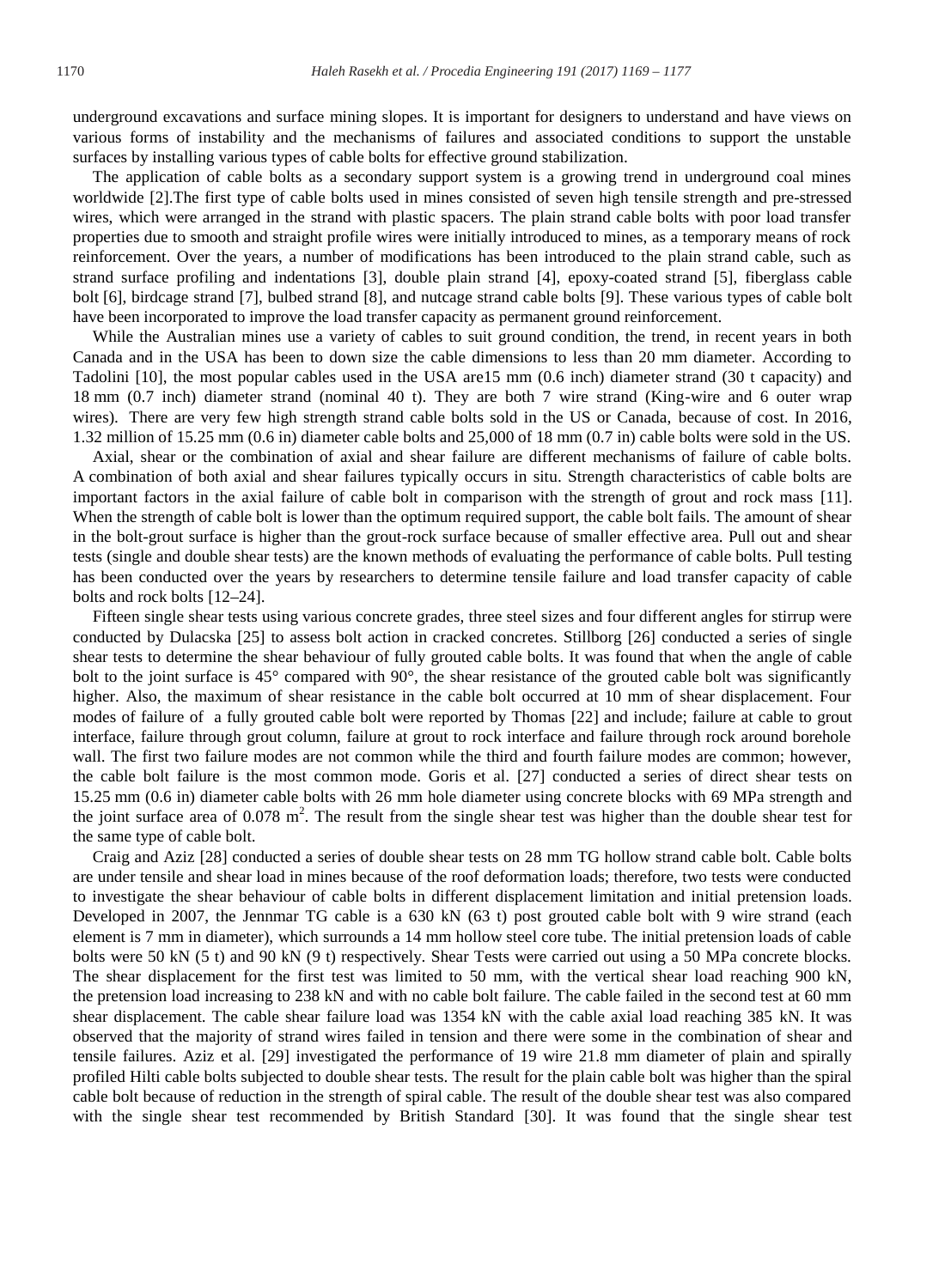underground excavations and surface mining slopes. It is important for designers to understand and have views on various forms of instability and the mechanisms of failures and associated conditions to support the unstable surfaces by installing various types of cable bolts for effective ground stabilization.

The application of cable bolts as a secondary support system is a growing trend in underground coal mines worldwide [2].The first type of cable bolts used in mines consisted of seven high tensile strength and pre-stressed wires, which were arranged in the strand with plastic spacers. The plain strand cable bolts with poor load transfer properties due to smooth and straight profile wires were initially introduced to mines, as a temporary means of rock reinforcement. Over the years, a number of modifications has been introduced to the plain strand cable, such as strand surface profiling and indentations [3], double plain strand [4], epoxy-coated strand [5], fiberglass cable bolt [6], birdcage strand [7], bulbed strand [8], and nutcage strand cable bolts [9]. These various types of cable bolt have been incorporated to improve the load transfer capacity as permanent ground reinforcement.

While the Australian mines use a variety of cables to suit ground condition, the trend, in recent years in both Canada and in the USA has been to down size the cable dimensions to less than 20 mm diameter. According to Tadolini [10], the most popular cables used in the USA are15 mm (0.6 inch) diameter strand (30 t capacity) and 18 mm (0.7 inch) diameter strand (nominal 40 t). They are both 7 wire strand (King-wire and 6 outer wrap wires). There are very few high strength strand cable bolts sold in the US or Canada, because of cost. In 2016, 1.32 million of 15.25 mm (0.6 in) diameter cable bolts and 25,000 of 18 mm (0.7 in) cable bolts were sold in the US.

Axial, shear or the combination of axial and shear failure are different mechanisms of failure of cable bolts. A combination of both axial and shear failures typically occurs in situ. Strength characteristics of cable bolts are important factors in the axial failure of cable bolt in comparison with the strength of grout and rock mass [11]. When the strength of cable bolt is lower than the optimum required support, the cable bolt fails. The amount of shear in the bolt-grout surface is higher than the grout-rock surface because of smaller effective area. Pull out and shear tests (single and double shear tests) are the known methods of evaluating the performance of cable bolts. Pull testing has been conducted over the years by researchers to determine tensile failure and load transfer capacity of cable bolts and rock bolts [12–24].

Fifteen single shear tests using various concrete grades, three steel sizes and four different angles for stirrup were conducted by Dulacska [25] to assess bolt action in cracked concretes. Stillborg [26] conducted a series of single shear tests to determine the shear behaviour of fully grouted cable bolts. It was found that when the angle of cable bolt to the joint surface is 45° compared with 90°, the shear resistance of the grouted cable bolt was significantly higher. Also, the maximum of shear resistance in the cable bolt occurred at 10 mm of shear displacement. Four modes of failure of a fully grouted cable bolt were reported by Thomas [22] and include; failure at cable to grout interface, failure through grout column, failure at grout to rock interface and failure through rock around borehole wall. The first two failure modes are not common while the third and fourth failure modes are common; however, the cable bolt failure is the most common mode. Goris et al. [27] conducted a series of direct shear tests on 15.25 mm (0.6 in) diameter cable bolts with 26 mm hole diameter using concrete blocks with 69 MPa strength and the joint surface area of  $0.078$  m<sup>2</sup>. The result from the single shear test was higher than the double shear test for the same type of cable bolt.

Craig and Aziz [28] conducted a series of double shear tests on 28 mm TG hollow strand cable bolt. Cable bolts are under tensile and shear load in mines because of the roof deformation loads; therefore, two tests were conducted to investigate the shear behaviour of cable bolts in different displacement limitation and initial pretension loads. Developed in 2007, the Jennmar TG cable is a 630 kN (63 t) post grouted cable bolt with 9 wire strand (each element is 7 mm in diameter), which surrounds a 14 mm hollow steel core tube. The initial pretension loads of cable bolts were 50 kN (5 t) and 90 kN (9 t) respectively. Shear Tests were carried out using a 50 MPa concrete blocks. The shear displacement for the first test was limited to 50 mm, with the vertical shear load reaching 900 kN, the pretension load increasing to 238 kN and with no cable bolt failure. The cable failed in the second test at 60 mm shear displacement. The cable shear failure load was 1354 kN with the cable axial load reaching 385 kN. It was observed that the majority of strand wires failed in tension and there were some in the combination of shear and tensile failures. Aziz et al. [29] investigated the performance of 19 wire 21.8 mm diameter of plain and spirally profiled Hilti cable bolts subjected to double shear tests. The result for the plain cable bolt was higher than the spiral cable bolt because of reduction in the strength of spiral cable. The result of the double shear test was also compared with the single shear test recommended by British Standard [30]. It was found that the single shear test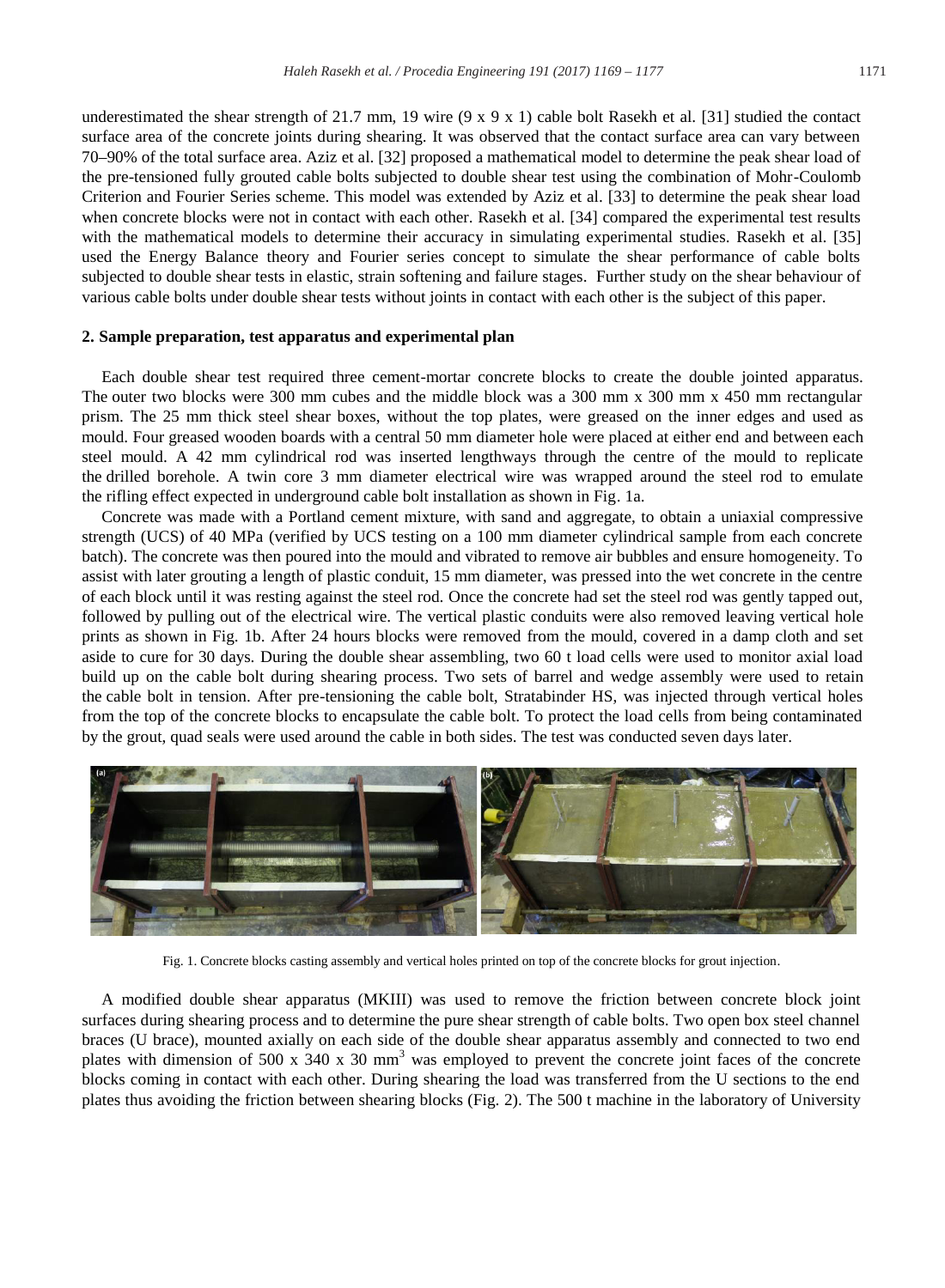underestimated the shear strength of 21.7 mm, 19 wire  $(9 \times 9 \times 1)$  cable bolt Rasekh et al. [31] studied the contact surface area of the concrete joints during shearing. It was observed that the contact surface area can vary between 70–90% of the total surface area. Aziz et al. [32] proposed a mathematical model to determine the peak shear load of the pre-tensioned fully grouted cable bolts subjected to double shear test using the combination of Mohr-Coulomb Criterion and Fourier Series scheme. This model was extended by Aziz et al. [33] to determine the peak shear load when concrete blocks were not in contact with each other. Rasekh et al. [34] compared the experimental test results with the mathematical models to determine their accuracy in simulating experimental studies. Rasekh et al. [35] used the Energy Balance theory and Fourier series concept to simulate the shear performance of cable bolts subjected to double shear tests in elastic, strain softening and failure stages. Further study on the shear behaviour of various cable bolts under double shear tests without joints in contact with each other is the subject of this paper.

#### **2. Sample preparation, test apparatus and experimental plan**

Each double shear test required three cement-mortar concrete blocks to create the double jointed apparatus. The outer two blocks were 300 mm cubes and the middle block was a 300 mm x 300 mm x 450 mm rectangular prism. The 25 mm thick steel shear boxes, without the top plates, were greased on the inner edges and used as mould. Four greased wooden boards with a central 50 mm diameter hole were placed at either end and between each steel mould. A 42 mm cylindrical rod was inserted lengthways through the centre of the mould to replicate the drilled borehole. A twin core 3 mm diameter electrical wire was wrapped around the steel rod to emulate the rifling effect expected in underground cable bolt installation as shown in Fig. 1a.

Concrete was made with a Portland cement mixture, with sand and aggregate, to obtain a uniaxial compressive strength (UCS) of 40 MPa (verified by UCS testing on a 100 mm diameter cylindrical sample from each concrete batch). The concrete was then poured into the mould and vibrated to remove air bubbles and ensure homogeneity. To assist with later grouting a length of plastic conduit, 15 mm diameter, was pressed into the wet concrete in the centre of each block until it was resting against the steel rod. Once the concrete had set the steel rod was gently tapped out, followed by pulling out of the electrical wire. The vertical plastic conduits were also removed leaving vertical hole prints as shown in Fig. 1b. After 24 hours blocks were removed from the mould, covered in a damp cloth and set aside to cure for 30 days. During the double shear assembling, two 60 t load cells were used to monitor axial load build up on the cable bolt during shearing process. Two sets of barrel and wedge assembly were used to retain the cable bolt in tension. After pre-tensioning the cable bolt, Stratabinder HS, was injected through vertical holes from the top of the concrete blocks to encapsulate the cable bolt. To protect the load cells from being contaminated by the grout, quad seals were used around the cable in both sides. The test was conducted seven days later.



Fig. 1. Concrete blocks casting assembly and vertical holes printed on top of the concrete blocks for grout injection.

A modified double shear apparatus (MKIII) was used to remove the friction between concrete block joint surfaces during shearing process and to determine the pure shear strength of cable bolts. Two open box steel channel braces (U brace), mounted axially on each side of the double shear apparatus assembly and connected to two end plates with dimension of 500 x 340 x 30 mm<sup>3</sup> was employed to prevent the concrete joint faces of the concrete blocks coming in contact with each other. During shearing the load was transferred from the U sections to the end plates thus avoiding the friction between shearing blocks (Fig. 2). The 500 t machine in the laboratory of University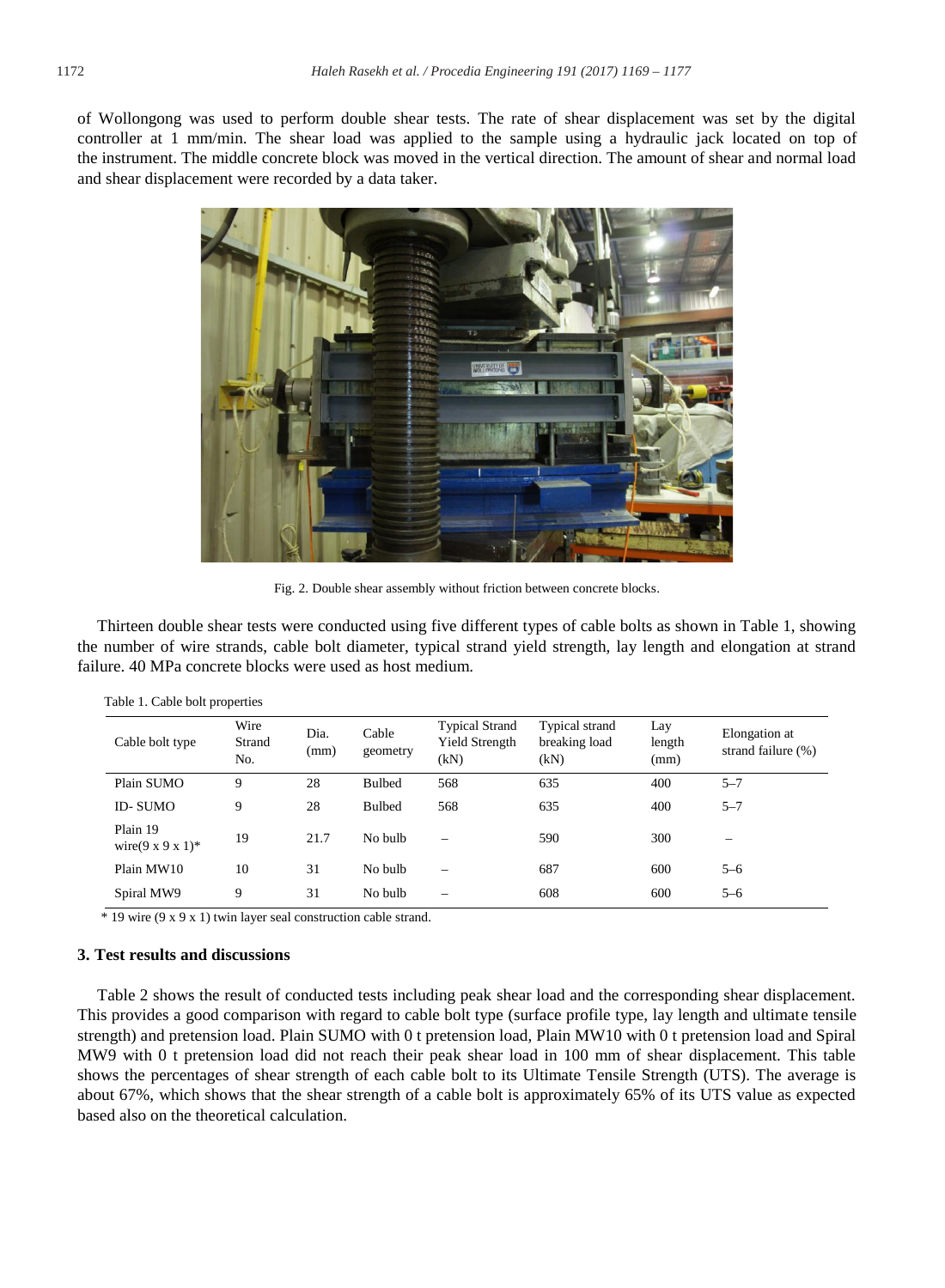of Wollongong was used to perform double shear tests. The rate of shear displacement was set by the digital controller at 1 mm/min. The shear load was applied to the sample using a hydraulic jack located on top of the instrument. The middle concrete block was moved in the vertical direction. The amount of shear and normal load and shear displacement were recorded by a data taker.



Fig. 2. Double shear assembly without friction between concrete blocks.

Thirteen double shear tests were conducted using five different types of cable bolts as shown in Table 1, showing the number of wire strands, cable bolt diameter, typical strand yield strength, lay length and elongation at strand failure. 40 MPa concrete blocks were used as host medium.

| Cable bolt type                            | Wire<br>Strand<br>No. | Dia.<br>(mm) | Cable<br>geometry | <b>Typical Strand</b><br>Yield Strength<br>(kN) | Typical strand<br>breaking load<br>(kN) | Lay<br>length<br>(mm) | Elongation at<br>strand failure (%) |
|--------------------------------------------|-----------------------|--------------|-------------------|-------------------------------------------------|-----------------------------------------|-----------------------|-------------------------------------|
| Plain SUMO                                 | 9                     | 28           | <b>Bulbed</b>     | 568                                             | 635                                     | 400                   | $5 - 7$                             |
| <b>ID-SUMO</b>                             | 9                     | 28           | <b>Bulbed</b>     | 568                                             | 635                                     | 400                   | $5 - 7$                             |
| Plain 19<br>wire $(9 \times 9 \times 1)^*$ | 19                    | 21.7         | No bulb           |                                                 | 590                                     | 300                   |                                     |
| Plain MW10                                 | 10                    | 31           | No bulb           | $\overline{\phantom{0}}$                        | 687                                     | 600                   | $5 - 6$                             |
| Spiral MW9                                 | 9                     | 31           | No bulb           | -                                               | 608                                     | 600                   | $5 - 6$                             |

Table 1. Cable bolt properties

\* 19 wire (9 x 9 x 1) twin layer seal construction cable strand.

#### **3. Test results and discussions**

Table 2 shows the result of conducted tests including peak shear load and the corresponding shear displacement. This provides a good comparison with regard to cable bolt type (surface profile type, lay length and ultimate tensile strength) and pretension load. Plain SUMO with 0 t pretension load, Plain MW10 with 0 t pretension load and Spiral MW9 with 0 t pretension load did not reach their peak shear load in 100 mm of shear displacement. This table shows the percentages of shear strength of each cable bolt to its Ultimate Tensile Strength (UTS). The average is about 67%, which shows that the shear strength of a cable bolt is approximately 65% of its UTS value as expected based also on the theoretical calculation.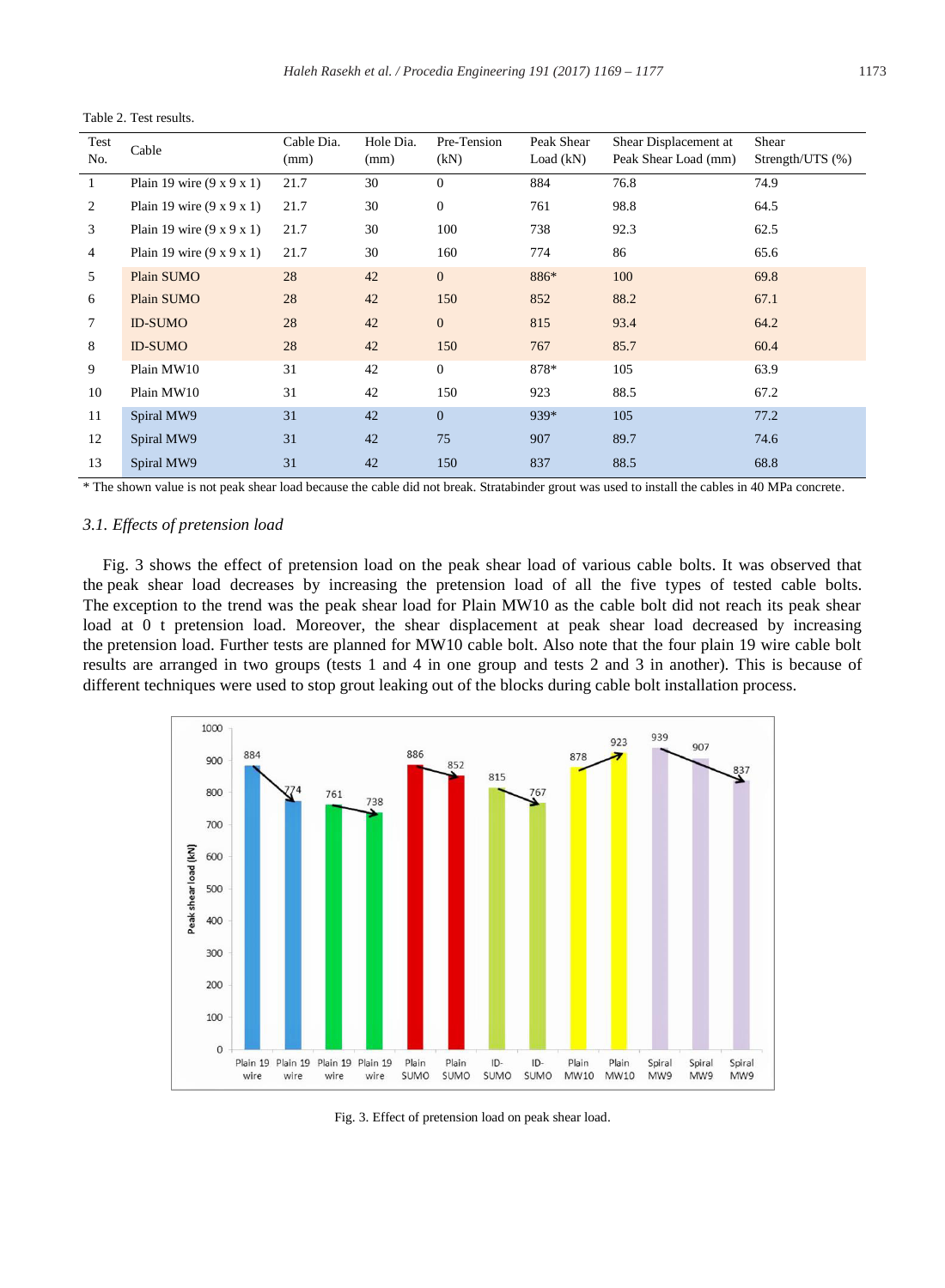| Test<br>No.    | Cable                                 | Cable Dia.<br>(mm) | Hole Dia.<br>(mm) | Pre-Tension<br>(kN) | Peak Shear<br>Load $(kN)$ | Shear Displacement at<br>Peak Shear Load (mm) | Shear<br>Strength/UTS (%) |
|----------------|---------------------------------------|--------------------|-------------------|---------------------|---------------------------|-----------------------------------------------|---------------------------|
| 1              | Plain 19 wire $(9 \times 9 \times 1)$ | 21.7               | 30                | $\mathbf{0}$        | 884                       | 76.8                                          | 74.9                      |
| 2              | Plain 19 wire $(9 \times 9 \times 1)$ | 21.7               | 30                | $\boldsymbol{0}$    | 761                       | 98.8                                          | 64.5                      |
| 3              | Plain 19 wire $(9 \times 9 \times 1)$ | 21.7               | 30                | 100                 | 738                       | 92.3                                          | 62.5                      |
| $\overline{4}$ | Plain 19 wire $(9 \times 9 \times 1)$ | 21.7               | 30                | 160                 | 774                       | 86                                            | 65.6                      |
| 5              | Plain SUMO                            | 28                 | 42                | $\mathbf{0}$        | 886*                      | 100                                           | 69.8                      |
| 6              | Plain SUMO                            | 28                 | 42                | 150                 | 852                       | 88.2                                          | 67.1                      |
| 7              | <b>ID-SUMO</b>                        | 28                 | 42                | $\boldsymbol{0}$    | 815                       | 93.4                                          | 64.2                      |
| 8              | <b>ID-SUMO</b>                        | 28                 | 42                | 150                 | 767                       | 85.7                                          | 60.4                      |
| 9              | Plain MW10                            | 31                 | 42                | $\mathbf{0}$        | 878*                      | 105                                           | 63.9                      |
| 10             | Plain MW10                            | 31                 | 42                | 150                 | 923                       | 88.5                                          | 67.2                      |
| 11             | Spiral MW9                            | 31                 | 42                | $\overline{0}$      | 939*                      | 105                                           | 77.2                      |
| 12             | Spiral MW9                            | 31                 | 42                | 75                  | 907                       | 89.7                                          | 74.6                      |
| 13             | Spiral MW9                            | 31                 | 42                | 150                 | 837                       | 88.5                                          | 68.8                      |

Table 2. Test results.

\* The shown value is not peak shear load because the cable did not break. Stratabinder grout was used to install the cables in 40 MPa concrete.

#### *3.1. Effects of pretension load*

Fig. 3 shows the effect of pretension load on the peak shear load of various cable bolts. It was observed that the peak shear load decreases by increasing the pretension load of all the five types of tested cable bolts. The exception to the trend was the peak shear load for Plain MW10 as the cable bolt did not reach its peak shear load at 0 t pretension load. Moreover, the shear displacement at peak shear load decreased by increasing the pretension load. Further tests are planned for MW10 cable bolt. Also note that the four plain 19 wire cable bolt results are arranged in two groups (tests 1 and 4 in one group and tests 2 and 3 in another). This is because of different techniques were used to stop grout leaking out of the blocks during cable bolt installation process.



Fig. 3. Effect of pretension load on peak shear load.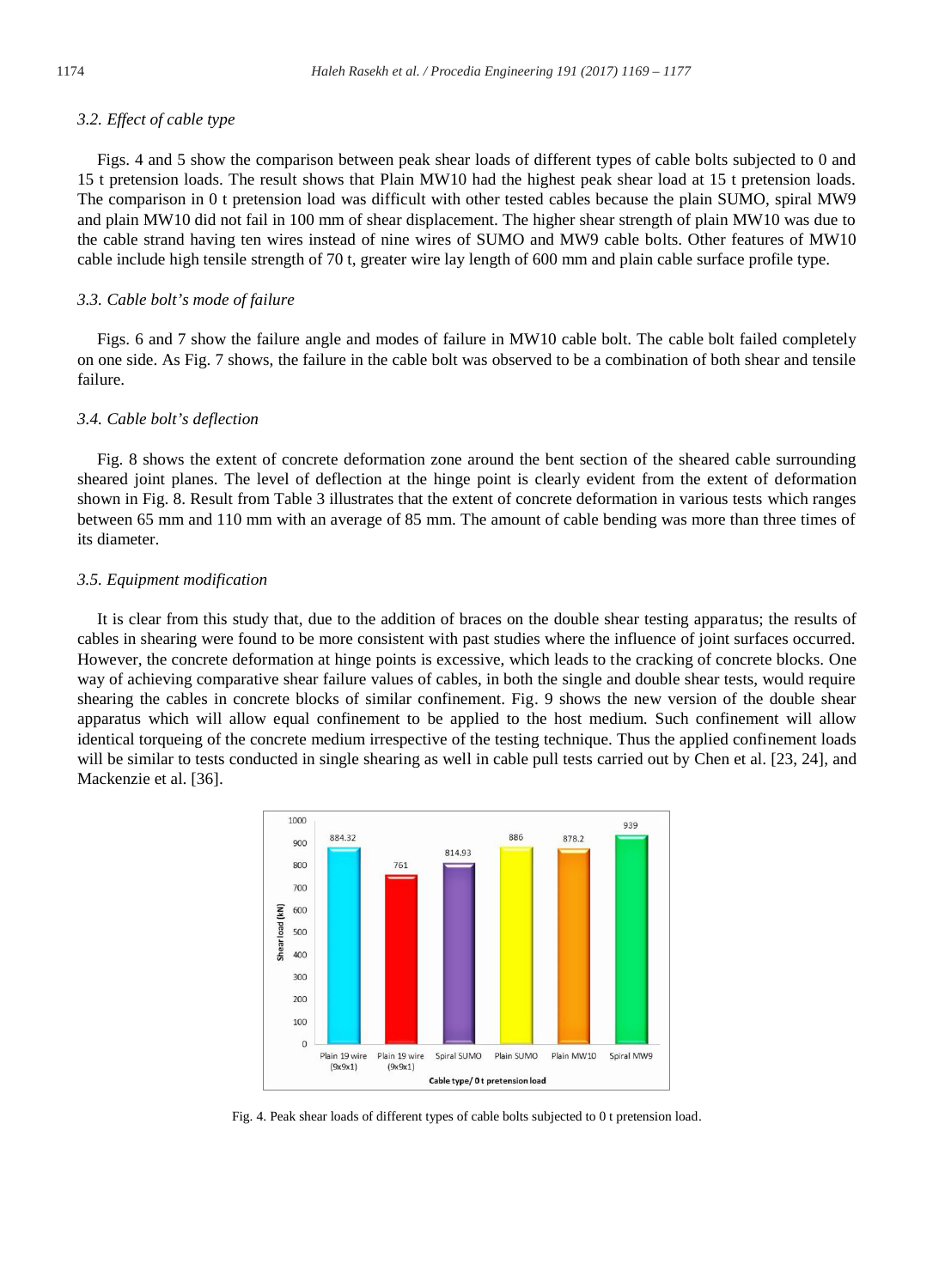#### *3.2. Effect of cable type*

Figs. 4 and 5 show the comparison between peak shear loads of different types of cable bolts subjected to 0 and 15 t pretension loads. The result shows that Plain MW10 had the highest peak shear load at 15 t pretension loads. The comparison in 0 t pretension load was difficult with other tested cables because the plain SUMO, spiral MW9 and plain MW10 did not fail in 100 mm of shear displacement. The higher shear strength of plain MW10 was due to the cable strand having ten wires instead of nine wires of SUMO and MW9 cable bolts. Other features of MW10 cable include high tensile strength of 70 t, greater wire lay length of 600 mm and plain cable surface profile type.

#### *3.3. Cable bolt's mode of failure*

Figs. 6 and 7 show the failure angle and modes of failure in MW10 cable bolt. The cable bolt failed completely on one side. As Fig. 7 shows, the failure in the cable bolt was observed to be a combination of both shear and tensile failure.

#### *3.4. Cable bolt's deflection*

Fig. 8 shows the extent of concrete deformation zone around the bent section of the sheared cable surrounding sheared joint planes. The level of deflection at the hinge point is clearly evident from the extent of deformation shown in Fig. 8. Result from Table 3 illustrates that the extent of concrete deformation in various tests which ranges between 65 mm and 110 mm with an average of 85 mm. The amount of cable bending was more than three times of its diameter.

#### *3.5. Equipment modification*

It is clear from this study that, due to the addition of braces on the double shear testing apparatus; the results of cables in shearing were found to be more consistent with past studies where the influence of joint surfaces occurred. However, the concrete deformation at hinge points is excessive, which leads to the cracking of concrete blocks. One way of achieving comparative shear failure values of cables, in both the single and double shear tests, would require shearing the cables in concrete blocks of similar confinement. Fig. 9 shows the new version of the double shear apparatus which will allow equal confinement to be applied to the host medium. Such confinement will allow identical torqueing of the concrete medium irrespective of the testing technique. Thus the applied confinement loads will be similar to tests conducted in single shearing as well in cable pull tests carried out by Chen et al. [23, 24], and Mackenzie et al. [36].



Fig. 4. Peak shear loads of different types of cable bolts subjected to 0 t pretension load.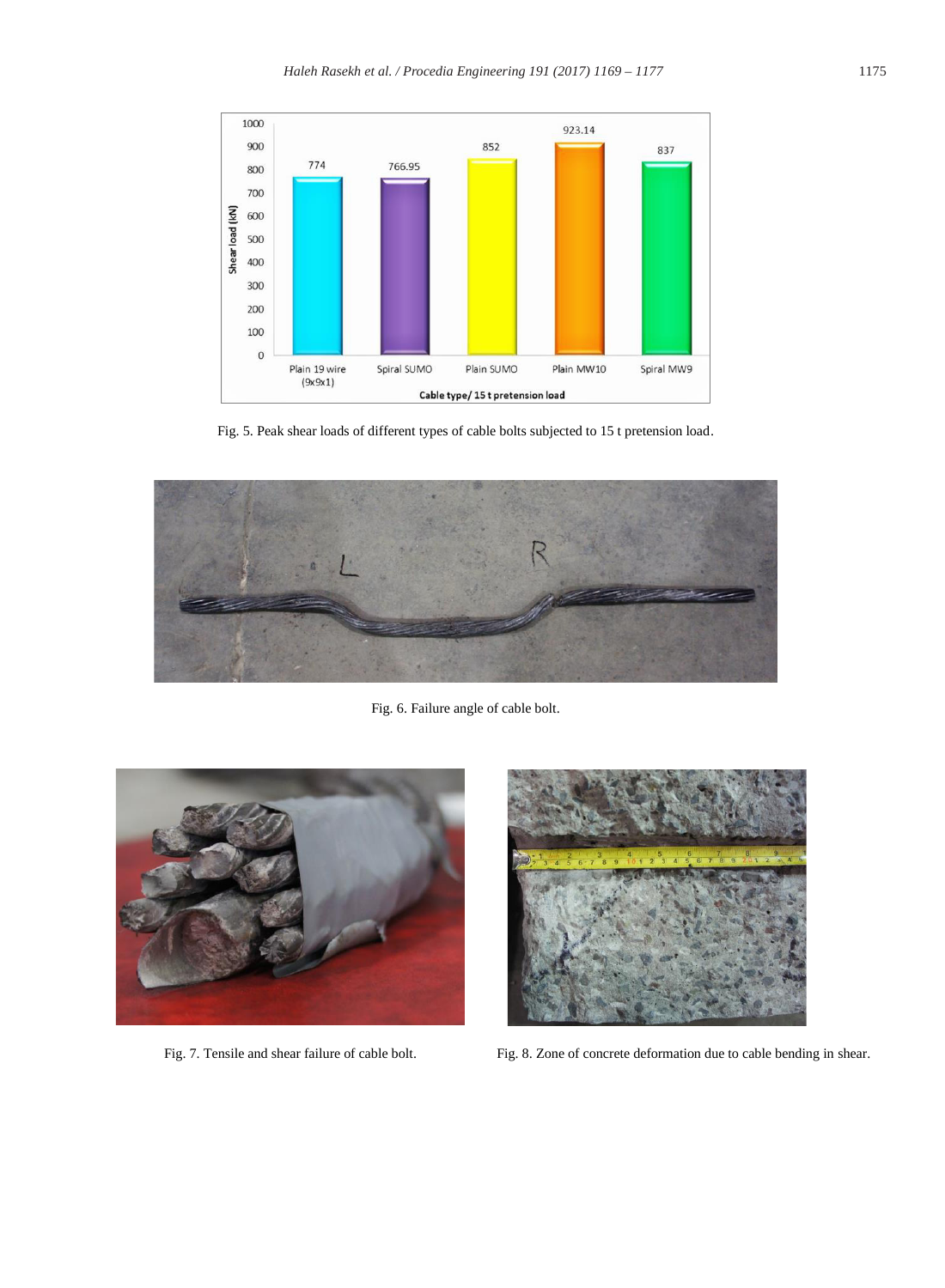

Fig. 5. Peak shear loads of different types of cable bolts subjected to 15 t pretension load.



Fig. 6. Failure angle of cable bolt.





Fig. 7. Tensile and shear failure of cable bolt. Fig. 8. Zone of concrete deformation due to cable bending in shear.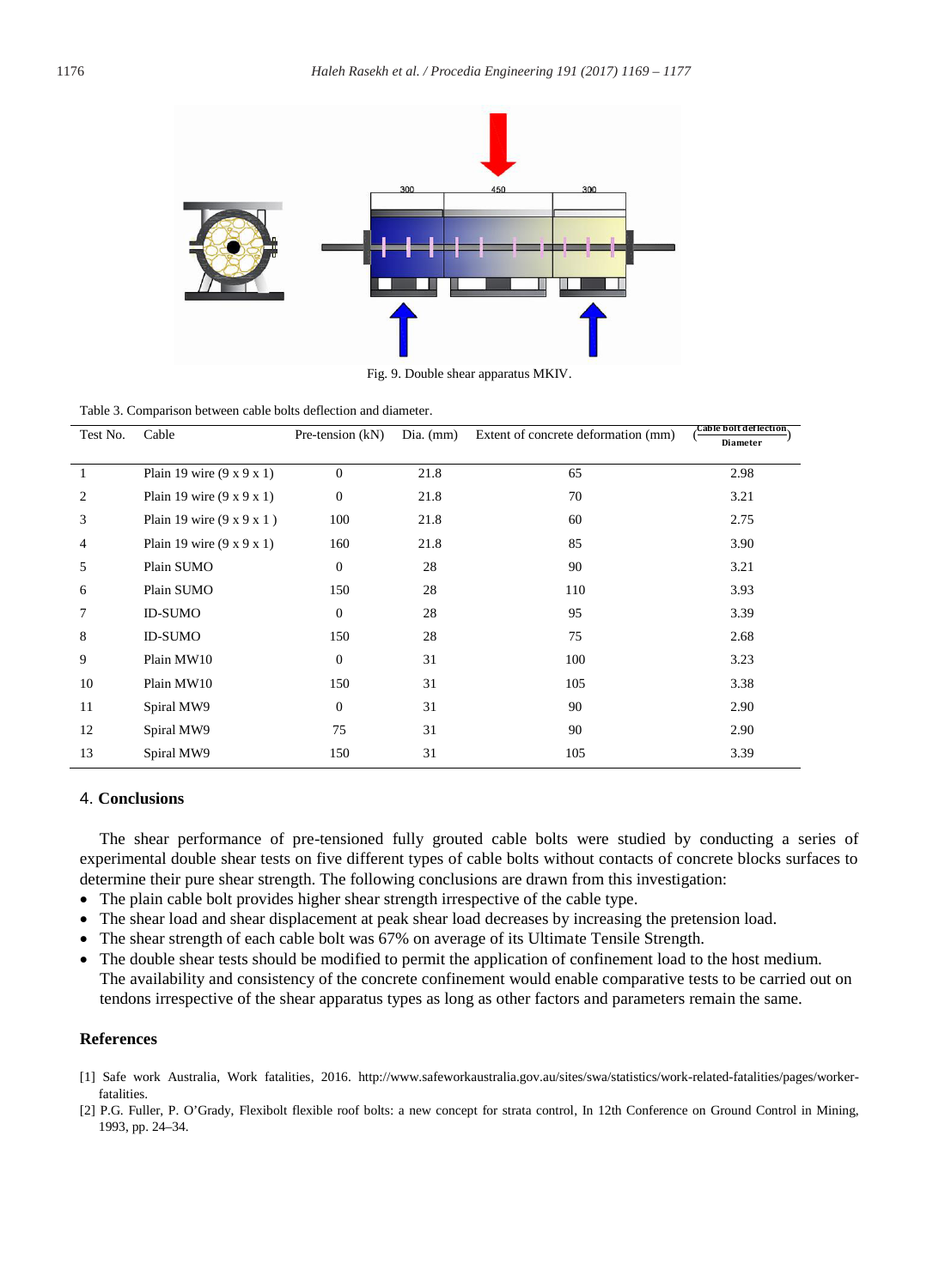

Fig. 9. Double shear apparatus MKIV.

Table 3. Comparison between cable bolts deflection and diameter.

| Test No. | Cable                                 | Pre-tension $(kN)$<br>$Dia.$ (mm) |      | Extent of concrete deformation (mm) | Cable bolt deflection. |
|----------|---------------------------------------|-----------------------------------|------|-------------------------------------|------------------------|
|          |                                       |                                   |      |                                     | <b>Diameter</b>        |
|          | Plain 19 wire $(9 \times 9 \times 1)$ | $\Omega$                          | 21.8 | 65                                  | 2.98                   |
| 2        | Plain 19 wire $(9 \times 9 \times 1)$ | $\mathbf{0}$                      | 21.8 | 70                                  | 3.21                   |
| 3        | Plain 19 wire $(9 \times 9 \times 1)$ | 100                               | 21.8 | 60                                  | 2.75                   |
| 4        | Plain 19 wire $(9 \times 9 \times 1)$ | 160                               | 21.8 | 85                                  | 3.90                   |
| 5        | Plain SUMO                            | $\mathbf{0}$                      | 28   | 90                                  | 3.21                   |
| 6        | Plain SUMO                            | 150                               | 28   | 110                                 | 3.93                   |
| 7        | <b>ID-SUMO</b>                        | $\mathbf{0}$                      | 28   | 95                                  | 3.39                   |
| 8        | <b>ID-SUMO</b>                        | 150                               | 28   | 75                                  | 2.68                   |
| 9        | Plain MW10                            | $\mathbf{0}$                      | 31   | 100                                 | 3.23                   |
| 10       | Plain MW10                            | 150                               | 31   | 105                                 | 3.38                   |
| 11       | Spiral MW9                            | $\mathbf{0}$                      | 31   | 90                                  | 2.90                   |
| 12       | Spiral MW9                            | 75                                | 31   | 90                                  | 2.90                   |
| 13       | Spiral MW9                            | 150                               | 31   | 105                                 | 3.39                   |

#### 4. **Conclusions**

The shear performance of pre-tensioned fully grouted cable bolts were studied by conducting a series of experimental double shear tests on five different types of cable bolts without contacts of concrete blocks surfaces to determine their pure shear strength. The following conclusions are drawn from this investigation:

- The plain cable bolt provides higher shear strength irrespective of the cable type.
- The shear load and shear displacement at peak shear load decreases by increasing the pretension load.
- The shear strength of each cable bolt was 67% on average of its Ultimate Tensile Strength.
- The double shear tests should be modified to permit the application of confinement load to the host medium. The availability and consistency of the concrete confinement would enable comparative tests to be carried out on tendons irrespective of the shear apparatus types as long as other factors and parameters remain the same.

#### **References**

- [1] Safe work Australia, Work fatalities, 2016. http://www.safeworkaustralia.gov.au/sites/swa/statistics/work-related-fatalities/pages/workerfatalities.
- [2] P.G. Fuller, P. O'Grady, Flexibolt flexible roof bolts: a new concept for strata control, In 12th Conference on Ground Control in Mining, 1993, pp. 24–34.